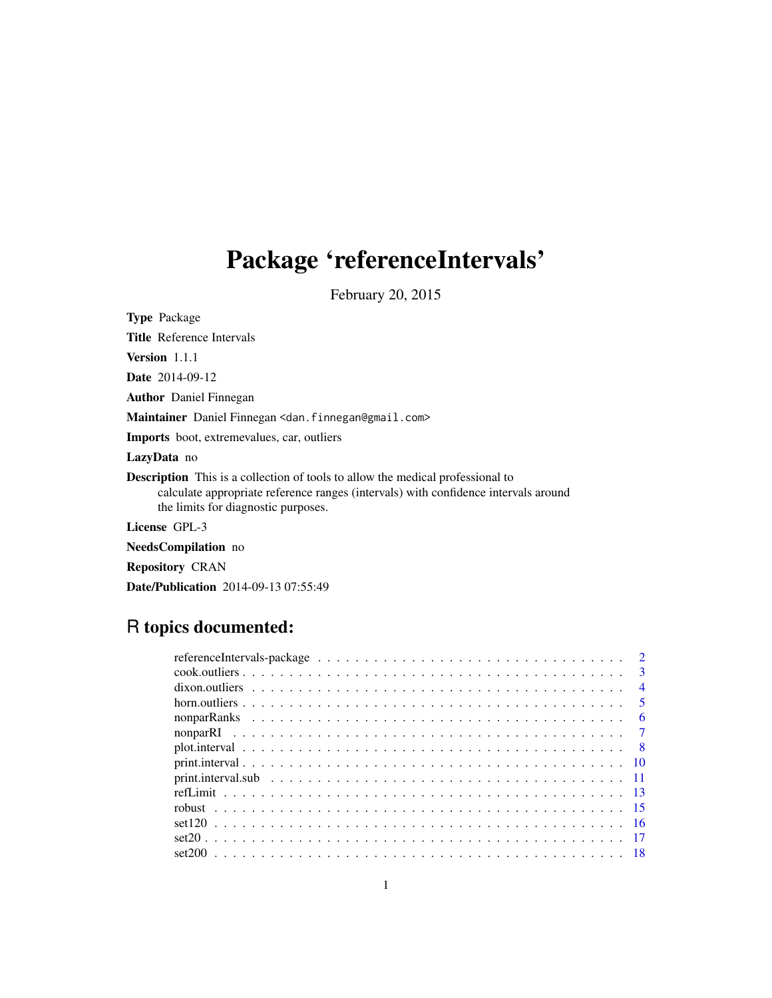# Package 'referenceIntervals'

February 20, 2015

| <b>Type Package</b>                                                                                                                                                                                                 |
|---------------------------------------------------------------------------------------------------------------------------------------------------------------------------------------------------------------------|
| <b>Title</b> Reference Intervals                                                                                                                                                                                    |
| <b>Version</b> 1.1.1                                                                                                                                                                                                |
| <b>Date</b> 2014-09-12                                                                                                                                                                                              |
| <b>Author</b> Daniel Finnegan                                                                                                                                                                                       |
| Maintainer Daniel Finnegan <dan.finnegan@gmail.com></dan.finnegan@gmail.com>                                                                                                                                        |
| <b>Imports</b> boot, extremevalues, car, outliers                                                                                                                                                                   |
| LazyData no                                                                                                                                                                                                         |
| <b>Description</b> This is a collection of tools to allow the medical professional to<br>calculate appropriate reference ranges (intervals) with confidence intervals around<br>the limits for diagnostic purposes. |
| License GPL-3                                                                                                                                                                                                       |
| <b>NeedsCompilation</b> no                                                                                                                                                                                          |
| <b>Repository CRAN</b>                                                                                                                                                                                              |

# R topics documented:

Date/Publication 2014-09-13 07:55:49

| referenceIntervals-package $\dots \dots \dots \dots \dots \dots \dots \dots \dots \dots \dots \dots \dots \dots$ | $\overline{2}$             |
|------------------------------------------------------------------------------------------------------------------|----------------------------|
|                                                                                                                  | $\mathbf{R}$               |
|                                                                                                                  | $\overline{4}$             |
|                                                                                                                  | $\overline{\phantom{0}}$ 5 |
|                                                                                                                  | - 6                        |
|                                                                                                                  |                            |
|                                                                                                                  |                            |
|                                                                                                                  |                            |
|                                                                                                                  |                            |
|                                                                                                                  |                            |
|                                                                                                                  |                            |
|                                                                                                                  |                            |
| $set20$ 17                                                                                                       |                            |
|                                                                                                                  |                            |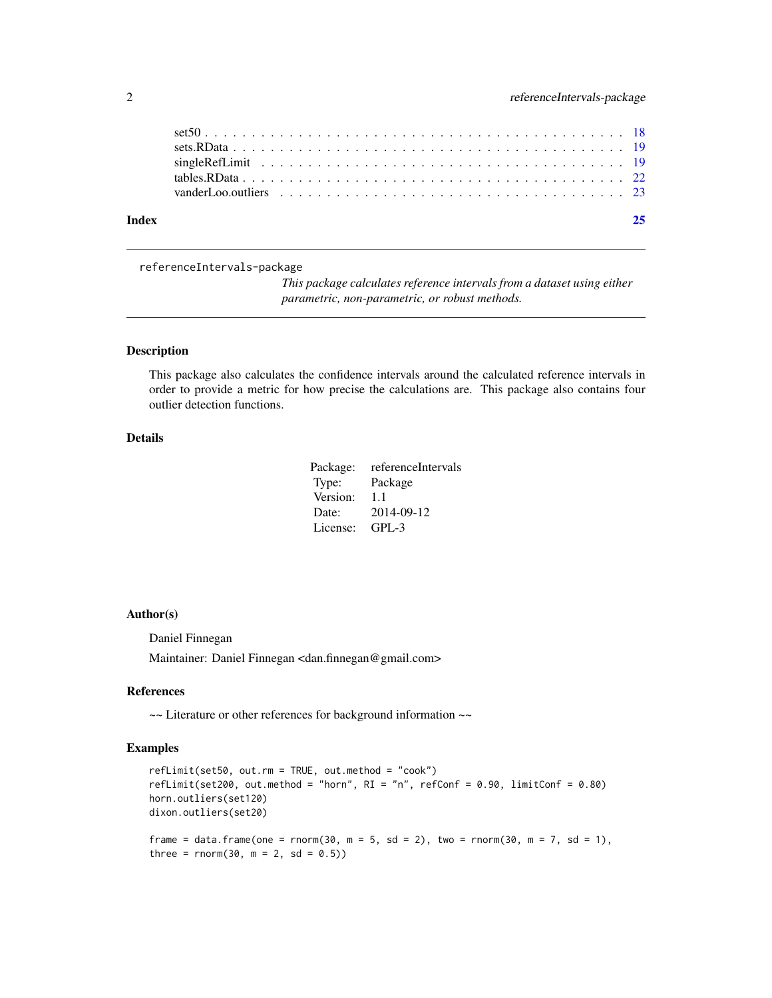<span id="page-1-0"></span>

| Index |  |
|-------|--|
|       |  |
|       |  |
|       |  |

#### referenceIntervals-package

*This package calculates reference intervals from a dataset using either parametric, non-parametric, or robust methods.*

#### Description

This package also calculates the confidence intervals around the calculated reference intervals in order to provide a metric for how precise the calculations are. This package also contains four outlier detection functions.

# Details

| Package: | referenceIntervals |
|----------|--------------------|
| Type:    | Package            |
| Version: | 1.1                |
| Date:    | 2014-09-12         |
| License: | $GPL-3$            |

#### Author(s)

Daniel Finnegan

Maintainer: Daniel Finnegan <dan.finnegan@gmail.com>

#### References

~~ Literature or other references for background information ~~

```
refLimit(set50, out.rm = TRUE, out.method = "cook")
refLimit(set200, out.method = "horn", RI = "n", refConf = 0.90, limitConf = 0.80)horn.outliers(set120)
dixon.outliers(set20)
frame = data.frame(one = rnorm(30, m = 5, sd = 2), two = rnorm(30, m = 7, sd = 1),
three = rnorm(30, m = 2, sd = 0.5)
```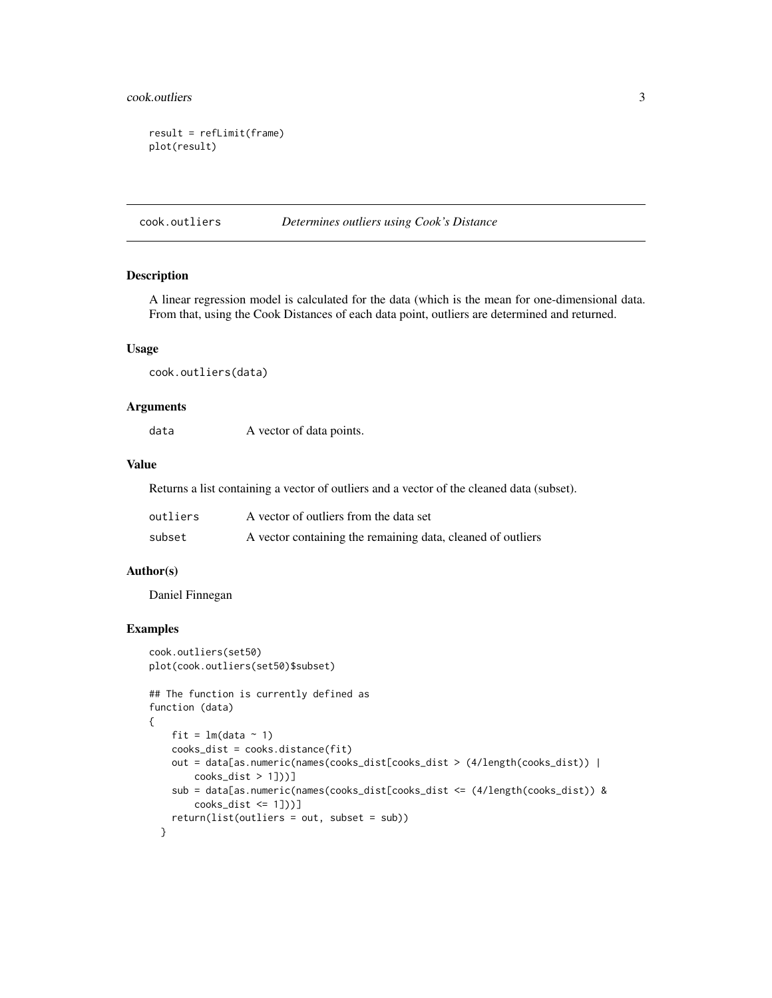#### <span id="page-2-0"></span>cook.outliers 3

```
result = refLimit(frame)
plot(result)
```
#### cook.outliers *Determines outliers using Cook's Distance*

#### Description

A linear regression model is calculated for the data (which is the mean for one-dimensional data. From that, using the Cook Distances of each data point, outliers are determined and returned.

#### Usage

cook.outliers(data)

#### Arguments

data A vector of data points.

#### Value

Returns a list containing a vector of outliers and a vector of the cleaned data (subset).

| outliers | A vector of outliers from the data set                      |
|----------|-------------------------------------------------------------|
| subset   | A vector containing the remaining data, cleaned of outliers |

#### Author(s)

Daniel Finnegan

```
cook.outliers(set50)
plot(cook.outliers(set50)$subset)
## The function is currently defined as
function (data)
{
   fit = lm(data ~ 1)cooks_dist = cooks.distance(fit)
   out = data[as.numeric(names(cooks_dist[cooks_dist > (4/length(cooks_dist)) |
       cooks\_dist > 1])]
    sub = data[as.numeric(names(cooks_dist[cooks_dist <= (4/length(cooks_dist)) &
       cooks_dist <= 1]))]
    return(list(outliers = out, subset = sub))
 }
```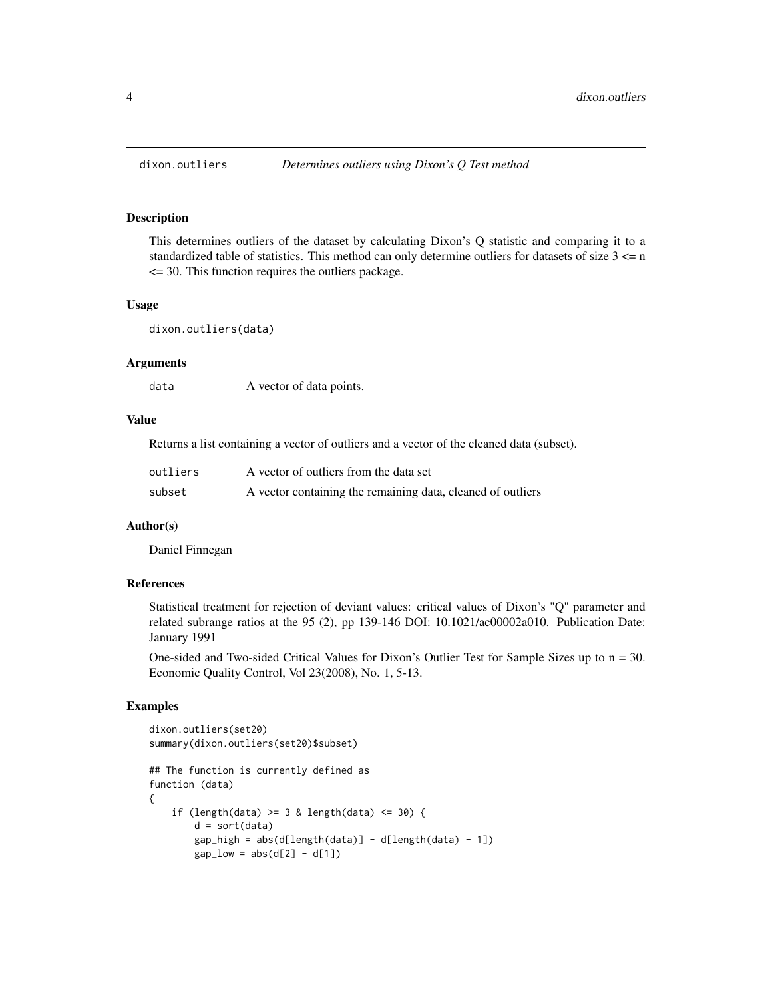#### Description

This determines outliers of the dataset by calculating Dixon's Q statistic and comparing it to a standardized table of statistics. This method can only determine outliers for datasets of size  $3 \le n$  $\leq$  30. This function requires the outliers package.

#### Usage

dixon.outliers(data)

#### Arguments

data A vector of data points.

#### Value

Returns a list containing a vector of outliers and a vector of the cleaned data (subset).

| outliers | A vector of outliers from the data set                      |
|----------|-------------------------------------------------------------|
| subset   | A vector containing the remaining data, cleaned of outliers |

# Author(s)

Daniel Finnegan

# References

Statistical treatment for rejection of deviant values: critical values of Dixon's "Q" parameter and related subrange ratios at the 95 (2), pp 139-146 DOI: 10.1021/ac00002a010. Publication Date: January 1991

One-sided and Two-sided Critical Values for Dixon's Outlier Test for Sample Sizes up to  $n = 30$ . Economic Quality Control, Vol 23(2008), No. 1, 5-13.

```
dixon.outliers(set20)
summary(dixon.outliers(set20)$subset)
## The function is currently defined as
function (data)
{
    if (length(data) >= 3 & length(data) <= 30) {
       d = sort(data)gap\_high = abs(d[length(data)] - d[length(data) - 1]gap_low = abs(d[2] - d[1])
```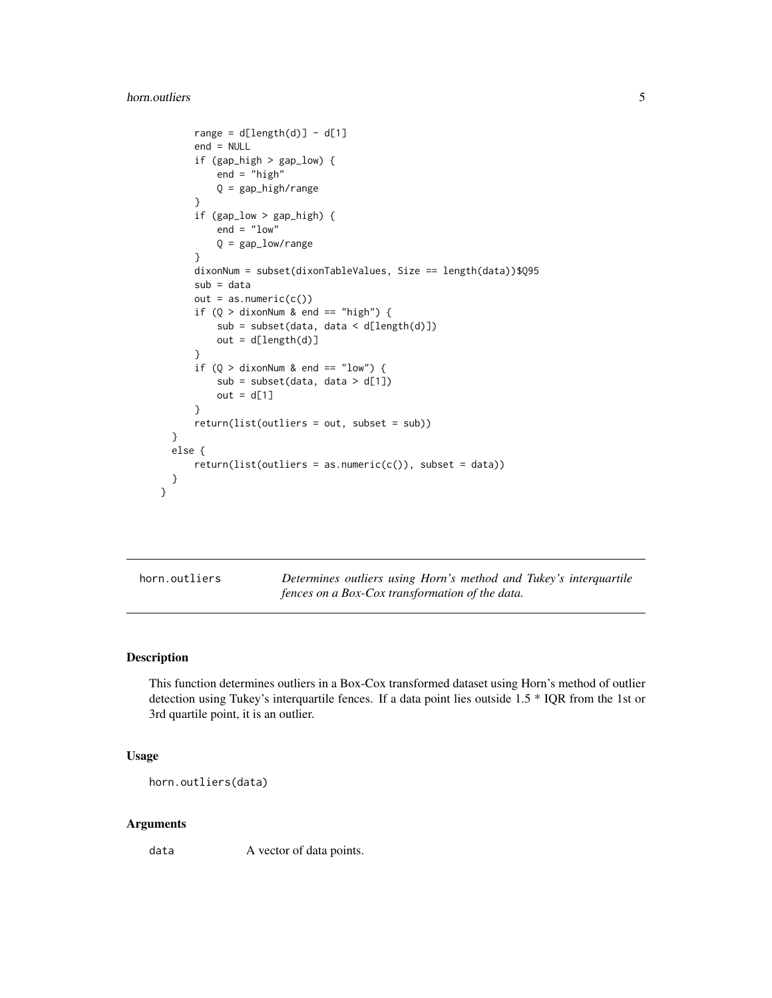#### <span id="page-4-0"></span>horn.outliers 5

```
range = d[length(d)] - d[1]end = NULL
    if (gap_high > gap_low) {
        end = "high"Q = gap_high/range
    }
    if (gap_low > gap_high) {
        end = "low"Q = gap_low/range
    }
    dixonNum = subset(dixonTableValues, Size == length(data))$Q95
    sub = data
    out = as.numeric(c())if (Q > dixonNum & end == "high") {
        sub = subset(data, data < d[length(d)])
        out = d[length(d)]}
    if (Q > dixonNum & end == "low") {
        sub = subset(data, data > d[1])
        out = d[1]}
    return(list(outliers = out, subset = sub))
}
else {
    return(list(outliers = as.numeric(c());\; subset = data))}
```
}

horn.outliers *Determines outliers using Horn's method and Tukey's interquartile fences on a Box-Cox transformation of the data.*

#### Description

This function determines outliers in a Box-Cox transformed dataset using Horn's method of outlier detection using Tukey's interquartile fences. If a data point lies outside 1.5 \* IQR from the 1st or 3rd quartile point, it is an outlier.

# Usage

```
horn.outliers(data)
```
#### Arguments

data A vector of data points.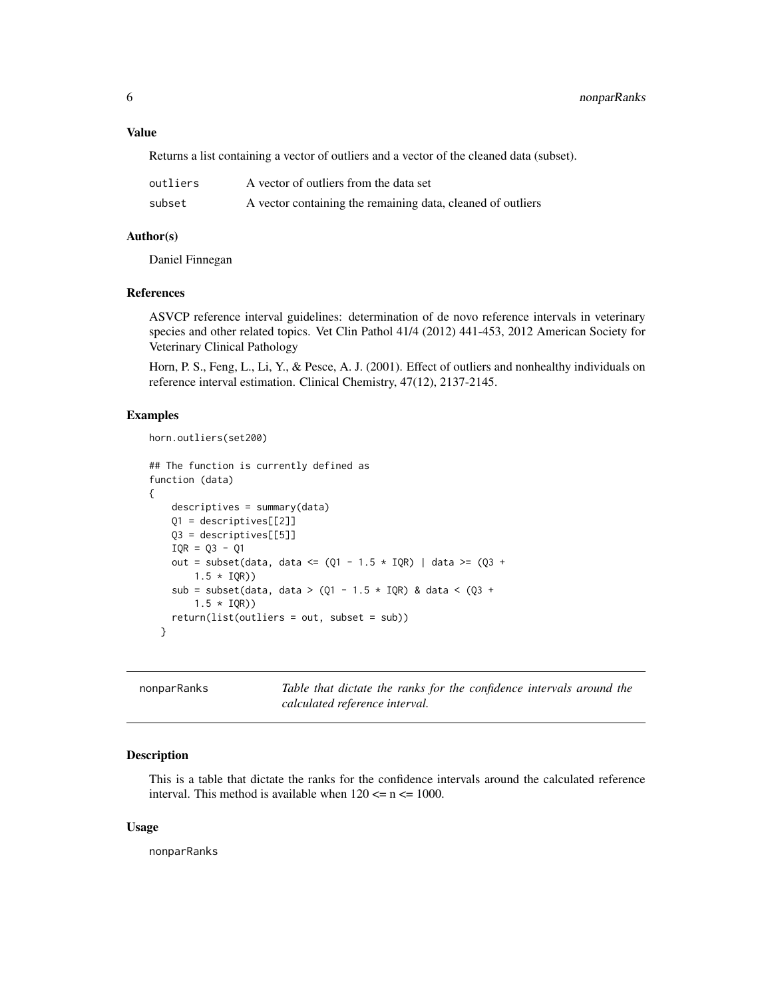#### <span id="page-5-0"></span>Value

Returns a list containing a vector of outliers and a vector of the cleaned data (subset).

| outliers | A vector of outliers from the data set                      |
|----------|-------------------------------------------------------------|
| subset   | A vector containing the remaining data, cleaned of outliers |

#### Author(s)

Daniel Finnegan

#### References

ASVCP reference interval guidelines: determination of de novo reference intervals in veterinary species and other related topics. Vet Clin Pathol 41/4 (2012) 441-453, 2012 American Society for Veterinary Clinical Pathology

Horn, P. S., Feng, L., Li, Y., & Pesce, A. J. (2001). Effect of outliers and nonhealthy individuals on reference interval estimation. Clinical Chemistry, 47(12), 2137-2145.

#### Examples

```
horn.outliers(set200)
```

```
## The function is currently defined as
function (data)
{
   descriptives = summary(data)
   Q1 = descriptives[[2]]
   Q3 = descriptives[[5]]
   IQR = Q3 - Q1out = subset(data, data <= (Q1 - 1.5 \times IQR) | data >= (Q3 +1.5 * IQR)sub = subset(data, data > (Q1 - 1.5 * IQR) & data < (Q3 +
        1.5 * IQR))
    return(list(outliers = out, subset = sub))
 }
```
nonparRanks *Table that dictate the ranks for the confidence intervals around the calculated reference interval.*

#### Description

This is a table that dictate the ranks for the confidence intervals around the calculated reference interval. This method is available when  $120 \le n \le 1000$ .

#### Usage

nonparRanks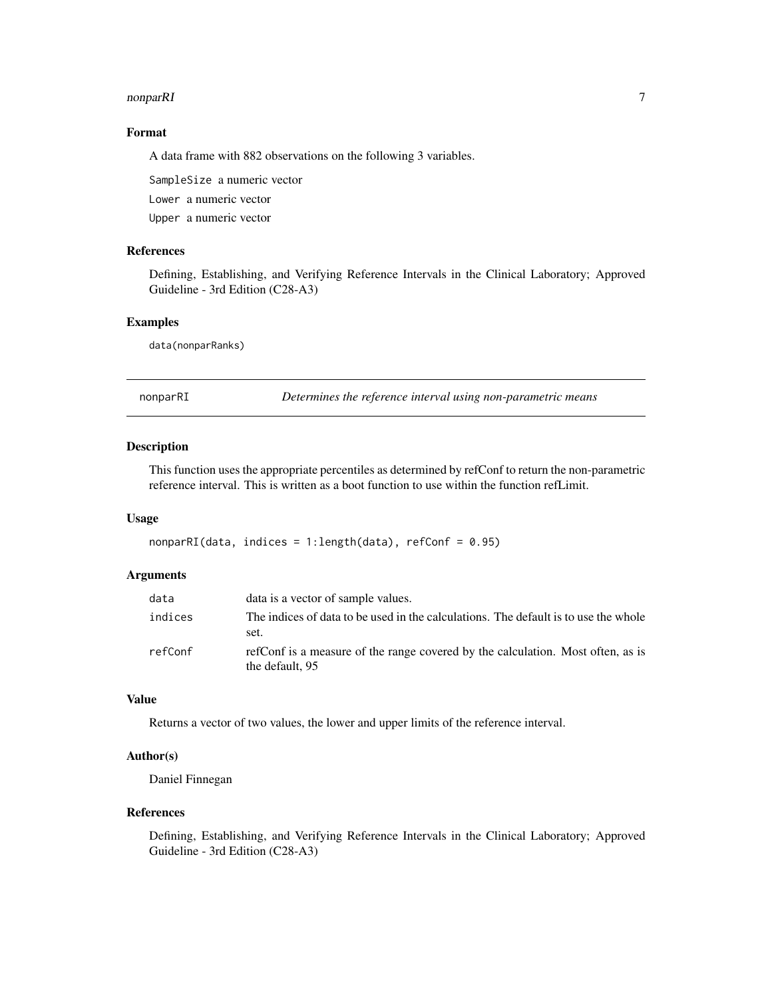#### <span id="page-6-0"></span>nonparRI 7 and 2008 and 2009 and 2009 and 2009 and 2009 and 2009 and 2009 and 2009 and 2009 and 2009 and 2009  $\sigma$

# Format

A data frame with 882 observations on the following 3 variables.

SampleSize a numeric vector Lower a numeric vector Upper a numeric vector

# References

Defining, Establishing, and Verifying Reference Intervals in the Clinical Laboratory; Approved Guideline - 3rd Edition (C28-A3)

#### Examples

data(nonparRanks)

nonparRI *Determines the reference interval using non-parametric means*

#### Description

This function uses the appropriate percentiles as determined by refConf to return the non-parametric reference interval. This is written as a boot function to use within the function refLimit.

#### Usage

 $nonparRI(data, indices = 1: length(data), refConf = 0.95)$ 

## Arguments

| data    | data is a vector of sample values.                                                                 |
|---------|----------------------------------------------------------------------------------------------------|
| indices | The indices of data to be used in the calculations. The default is to use the whole<br>set.        |
| refConf | refConf is a measure of the range covered by the calculation. Most often, as is<br>the default, 95 |

## Value

Returns a vector of two values, the lower and upper limits of the reference interval.

# Author(s)

Daniel Finnegan

#### References

Defining, Establishing, and Verifying Reference Intervals in the Clinical Laboratory; Approved Guideline - 3rd Edition (C28-A3)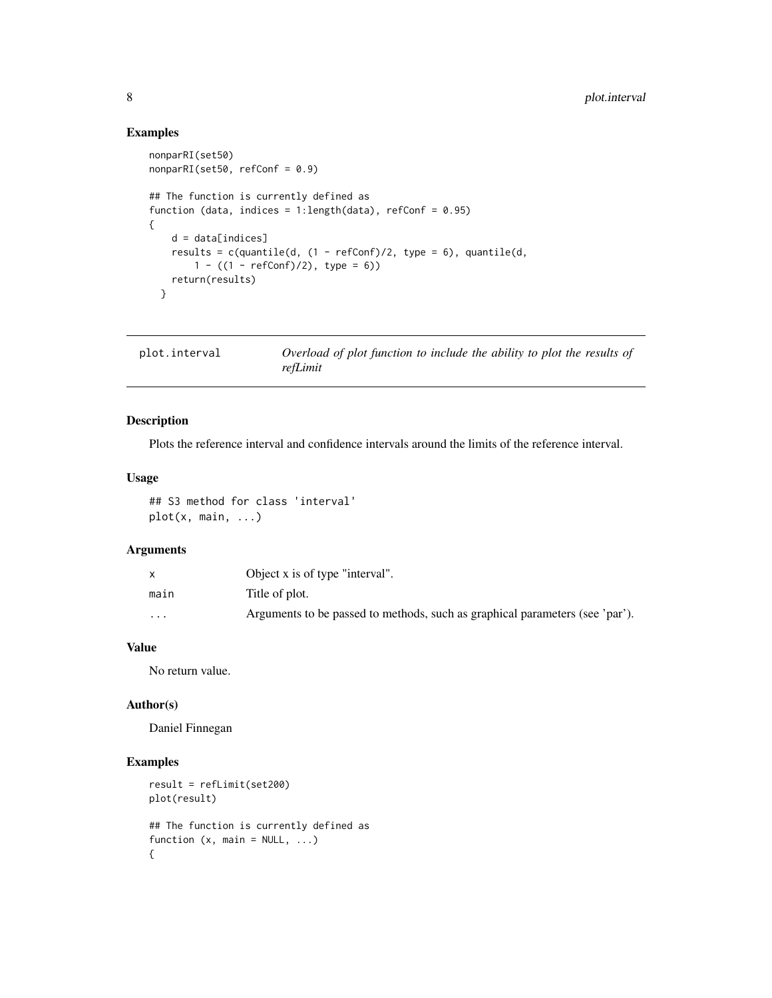# Examples

```
nonparRI(set50)
nonparRI(set50, refConf = 0.9)
## The function is currently defined as
function (data, indices = 1:length(data), refConf = 0.95)
{
    d = data[indices]
   results = c(quantile(d, (1 - refConf)/2, type = 6), quantile(d,
       1 - ((1 - refConf)/2), type = 6)return(results)
  }
```

| plot.interval | Overload of plot function to include the ability to plot the results of |
|---------------|-------------------------------------------------------------------------|
|               | refLimit                                                                |

# Description

Plots the reference interval and confidence intervals around the limits of the reference interval.

# Usage

## S3 method for class 'interval' plot(x, main, ...)

#### Arguments

|                         | Object x is of type "interval".                                              |
|-------------------------|------------------------------------------------------------------------------|
| main                    | Title of plot.                                                               |
| $\cdot$ $\cdot$ $\cdot$ | Arguments to be passed to methods, such as graphical parameters (see 'par'). |

# Value

No return value.

#### Author(s)

Daniel Finnegan

```
result = refLimit(set200)
plot(result)
## The function is currently defined as
function (x, \text{main} = \text{NULL}, \ldots){
```
<span id="page-7-0"></span>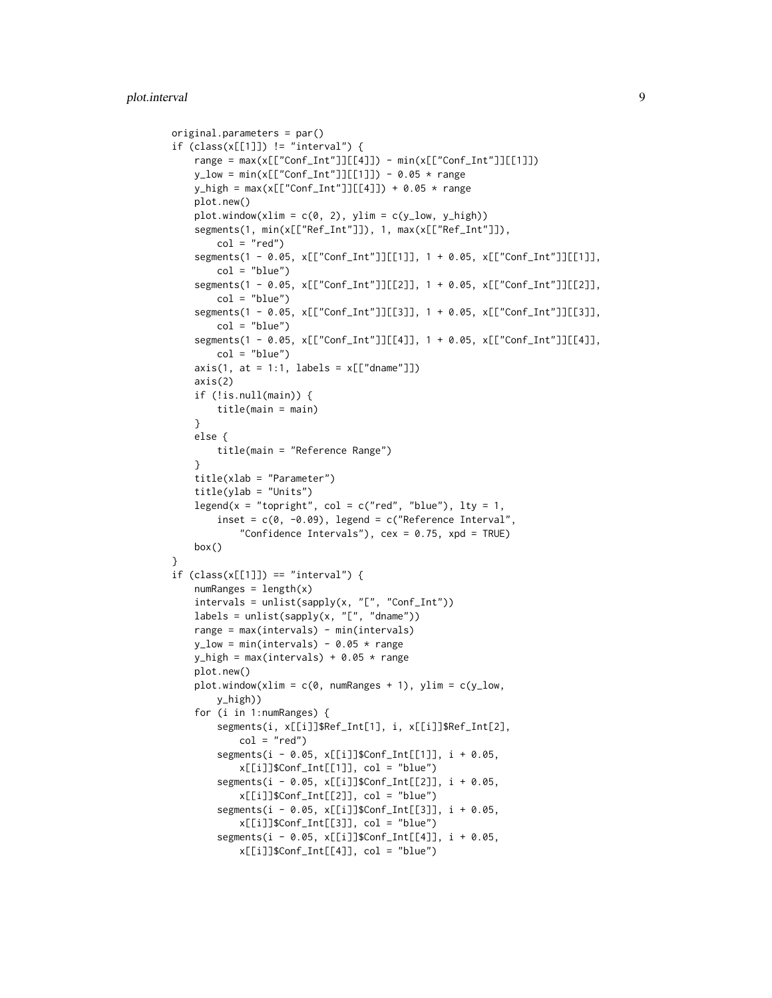```
original.parameters = par()
if (class(x[[1]]) != "interval") {
    range = max(x[["Conf_Int"]][[4]]) - min(x[["Conf_Int"]][[1]]))y_{\text{low}} = min(x[["Conf_Int"]][[1]]) - 0.05 * rangey_{\text{high}} = \text{max}(x[[\text{Conf}_\text{Int}"]][[4]]) + 0.05 * \text{range})plot.new()
    plot.window(xlim = c(0, 2), ylim = c(y_l1ow, y_high))segments(1, min(x[["Ref_Int"]]), 1, max(x[["Ref_Int"]]),
        col = "red")segments(1 - 0.05, x[["Conf_Int"]][[1]], 1 + 0.05, x[["Conf_Int"]][[1]],
        col = "blue")
    segments(1 - 0.05, x[["Conf_Int"]][[2]], 1 + 0.05, x[["Conf_Int"]][[2]],
        col = "blue")segments(1 - 0.05, x[["Conf_Int"]][[3]], 1 + 0.05, x[["Conf_Int"]][[3]],
        col = "blue")segments(1 - 0.05, x[["Conf_Int"]][[4]], 1 + 0.05, x[["Conf_Int"]][[4]],
        col = "blue")axis(1, at = 1:1, labels = x[["dname"]])axis(2)
    if (!is.null(main)) {
        title(main = main)
    }
    else {
        title(main = "Reference Range")
    }
    title(xlab = "Parameter")
    title(ylab = "Units")
    legend(x = "topright", col = c("red", "blue"), lty = 1,
        inset = c(0, -0.09), legend = c("Reference Interval","Confidence Intervals"), cex = 0.75, xpd = TRUE)
    box()
}
if (class(x[[1]]) == "interval") {
    numRanges = length(x)intervals = unlist(sapply(x, "[", "Conf_Int"))
    labels = unlist(sapply(x, "["", "dname"))range = max(intervals) - min(intervals)
    y_{\text{low}} = min(intervals) - 0.05 * rangey_{\text{high}} = \text{max}(\text{intervals}) + 0.05 \times \text{range})plot.new()
    plot.window(xlim = c(0, numRanges + 1), ylim = c(y_l)ow,
        y_high))
    for (i in 1:numRanges) {
        segments(i, x[[i]]$Ref_Int[1], i, x[[i]]$Ref_Int[2],
            col = "red")segments(i - 0.05, x[[i]]$Conf_Int[[1]], i + 0.05,
            x[[i]]$Conf_Int[[1]], col = "blue")
        segments(i - 0.05, x[[i]]$Conf_Int[[2]], i + 0.05,
            x[[i]]$Conf_Int[[2]], col = "blue")
        segments(i - 0.05, x[[i]]$Conf_Int[[3]], i + 0.05,
            x[[i]]$Conf_Int[[3]], col = "blue")
        segments(i - 0.05, x[[i]]$Conf_Int[[4]], i + 0.05,
            x[[i]]$Conf_Int[[4]], col = "blue")
```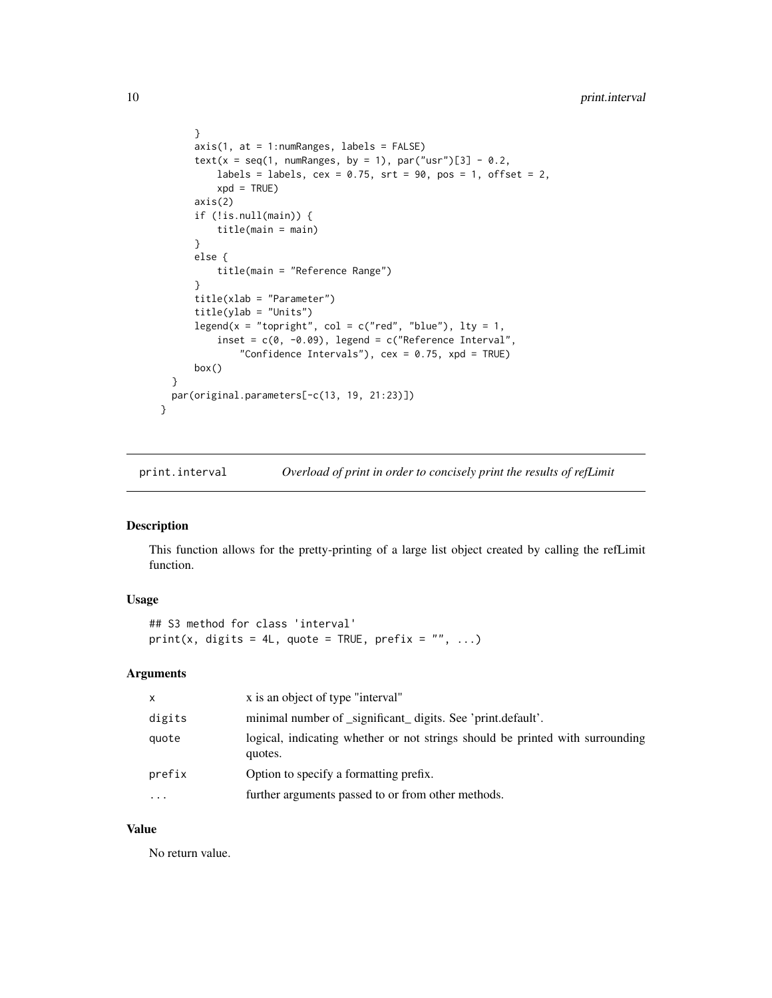```
}
    axis(1, at = 1:numRanges, labels = FALSE)
    text(x = seq(1, numRanges, by = 1), par("usr")[3] - 0.2,
        labels = labels, cex = 0.75, srt = 90, pos = 1, offset = 2,
        xpd = TRUEaxis(2)
    if (!is.null(main)) {
        title(main = main)
    }
    else {
        title(main = "Reference Range")
    }
    title(xlab = "Parameter")
    title(ylab = "Units")
    legend(x = "topright", col = c("red", "blue"), lty = 1,
        inset = c(0, -0.09), legend = c("Reference Interval","Confidence Intervals"), cex = 0.75, xpd = TRUE)
    box()
}
par(original.parameters[-c(13, 19, 21:23)])
```
print.interval *Overload of print in order to concisely print the results of refLimit*

# Description

}

This function allows for the pretty-printing of a large list object created by calling the refLimit function.

#### Usage

```
## S3 method for class 'interval'
print(x, digits = 4L, quote = TRUE, prefix = "", ...)
```
# Arguments

| x         | x is an object of type "interval"                                                        |
|-----------|------------------------------------------------------------------------------------------|
| digits    | minimal number of _significant_ digits. See 'print.default'.                             |
| quote     | logical, indicating whether or not strings should be printed with surrounding<br>quotes. |
| prefix    | Option to specify a formatting prefix.                                                   |
| $\ddotsc$ | further arguments passed to or from other methods.                                       |
|           |                                                                                          |

# Value

No return value.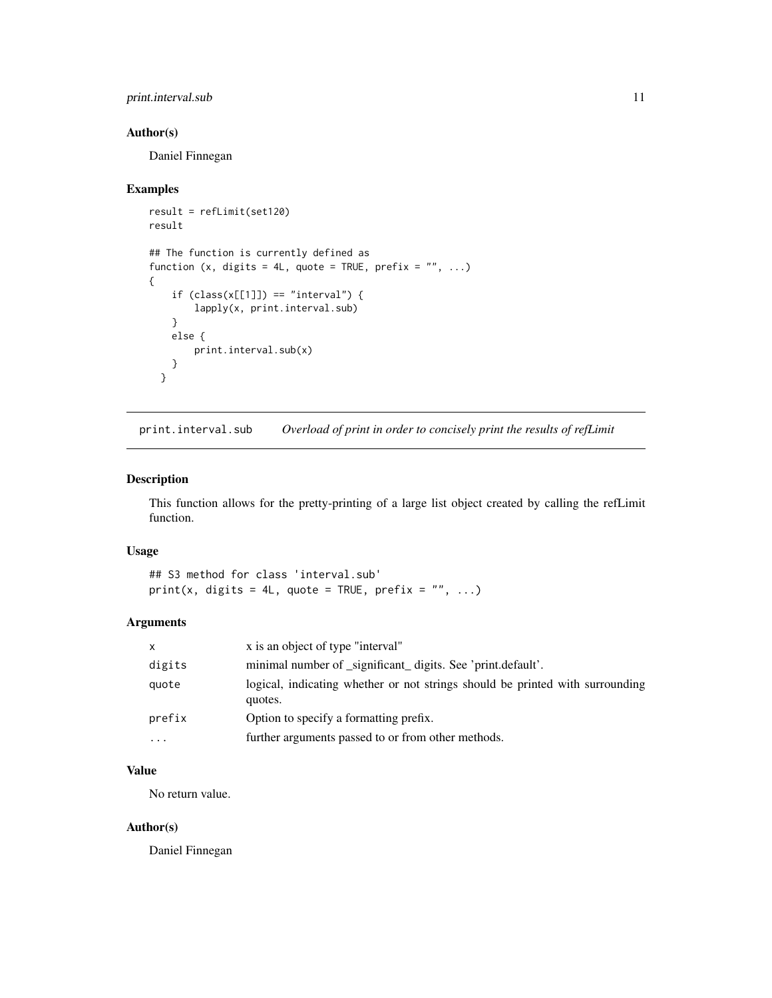# <span id="page-10-0"></span>print.interval.sub 11

# Author(s)

Daniel Finnegan

#### Examples

```
result = refLimit(set120)
result
## The function is currently defined as
function (x, digits = 4L, quote = TRUE, prefix = ", ...)
{
    if (class(x[[1]]) == "interval") {
       lapply(x, print.interval.sub)
    }
   else {
       print.interval.sub(x)
    }
  }
```
print.interval.sub *Overload of print in order to concisely print the results of refLimit*

# Description

This function allows for the pretty-printing of a large list object created by calling the refLimit function.

#### Usage

## S3 method for class 'interval.sub' print(x, digits = 4L, quote = TRUE, prefix =  $"$ , ...)

# Arguments

| $\mathsf{x}$ | x is an object of type "interval"                                                        |
|--------------|------------------------------------------------------------------------------------------|
| digits       | minimal number of _significant_ digits. See 'print.default'.                             |
| quote        | logical, indicating whether or not strings should be printed with surrounding<br>quotes. |
| prefix       | Option to specify a formatting prefix.                                                   |
| $\cdots$     | further arguments passed to or from other methods.                                       |

# Value

No return value.

#### Author(s)

Daniel Finnegan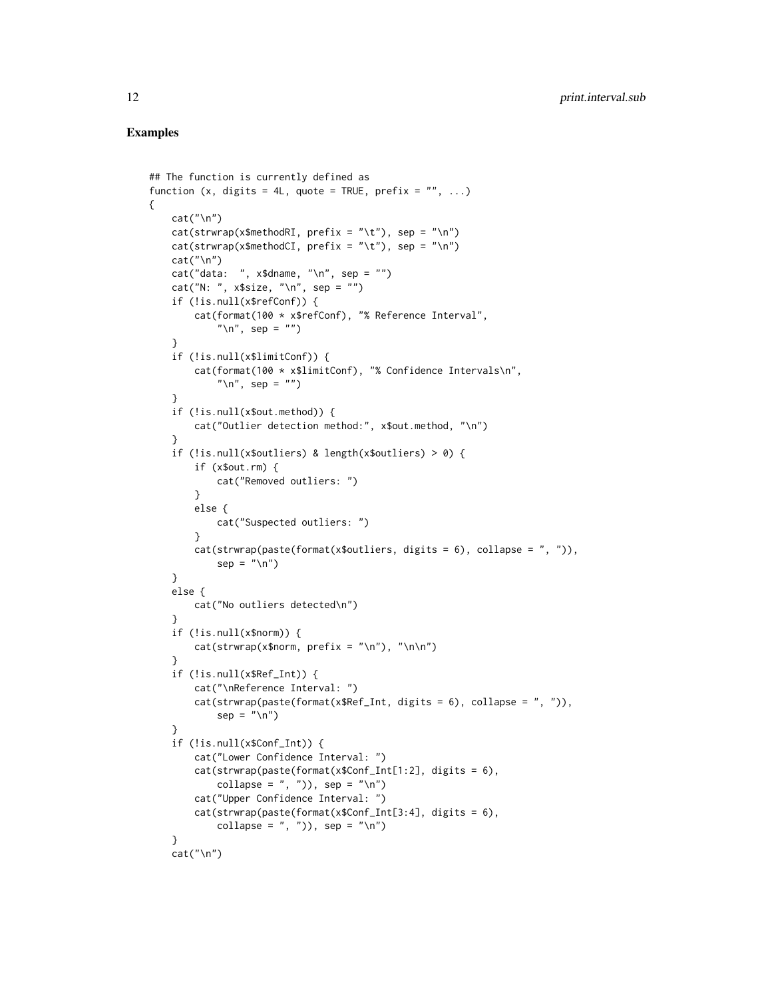#### Examples

{

```
## The function is currently defined as
function (x, digits = 4L, quote = TRUE, prefix = ", ...)
   cat("\n")
   cat(strwrap(x$methodRI, prefix = " \t', x"), sep = "\n")
   cat(strwrap(x$methodCI, prefix = " \t', t"), sep = " \n', n")cat("\n'\)cat("data: ", x$dname, "\n", sep = "")
   cat("N: ", x$size, "\n", sep = "")
   if (!is.null(x$refConf)) {
        cat(format(100 * x$refConf), "% Reference Interval",
            "\n", sep = "")
    }
    if (!is.null(x$limitConf)) {
        cat(format(100 * x$limitConf), "% Confidence Intervals\n",
            "\ln", sep = "")
    }
    if (!is.null(x$out.method)) {
        cat("Outlier detection method:", x$out.method, "\n")
    }
    if (!is.null(x$outliers) & length(x$outliers) > 0) {
       if (x$out.rm) {
            cat("Removed outliers: ")
        }
        else {
            cat("Suspected outliers: ")
        }
       cat(strwrap(paste(format(x$outliers, digits = 6), collapse = ", ")),
            sep = "n")}
    else {
       cat("No outliers detected\n")
    }
    if (!is.null(x$norm)) {
       cat(strwrap(x$norm, prefix = "\\n"), "\\n\\n")}
    if (!is.null(x$Ref_Int)) {
        cat("\nReference Interval: ")
        cat(strwrap(paste(format(x$Ref_Int, digits = 6), collapse = ", ")),sep = "n")}
    if (!is.null(x$Conf_Int)) {
        cat("Lower Confidence Interval: ")
        cat(strwrap(paste(format(x$Conf_Int[1:2], digits = 6),
            collapse = ", "), sep = "\n\cdot"cat("Upper Confidence Interval: ")
        cat(strwrap(paste(format(x$Conf_Int[3:4], digits = 6),
            collapse = ", "), sep = "\n\cdot"}
   cat("\n")
```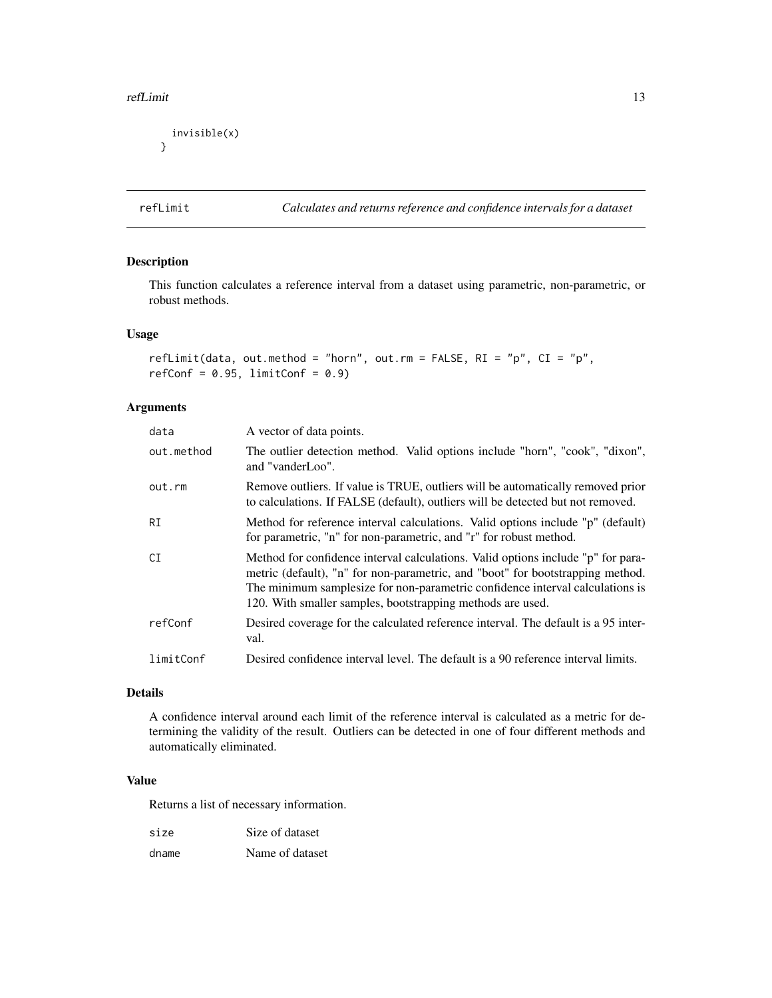#### <span id="page-12-0"></span>refLimit 13

```
invisible(x)
}
```
refLimit *Calculates and returns reference and confidence intervals for a dataset*

# Description

This function calculates a reference interval from a dataset using parametric, non-parametric, or robust methods.

# Usage

```
refLimit(data, out.method = "horn", out.rm = FALSE, RI = "p", CI = "p",
refConf = 0.95, limitConf = 0.9)
```
# Arguments

| data       | A vector of data points.                                                                                                                                                                                                                                                                                          |
|------------|-------------------------------------------------------------------------------------------------------------------------------------------------------------------------------------------------------------------------------------------------------------------------------------------------------------------|
| out.method | The outlier detection method. Valid options include "horn", "cook", "dixon",<br>and "vanderLoo".                                                                                                                                                                                                                  |
| out.rm     | Remove outliers. If value is TRUE, outliers will be automatically removed prior<br>to calculations. If FALSE (default), outliers will be detected but not removed.                                                                                                                                                |
| RI         | Method for reference interval calculations. Valid options include "p" (default)<br>for parametric, "n" for non-parametric, and "r" for robust method.                                                                                                                                                             |
| CI         | Method for confidence interval calculations. Valid options include "p" for para-<br>metric (default), "n" for non-parametric, and "boot" for bootstrapping method.<br>The minimum samplesize for non-parametric confidence interval calculations is<br>120. With smaller samples, bootstrapping methods are used. |
| refConf    | Desired coverage for the calculated reference interval. The default is a 95 inter-<br>val.                                                                                                                                                                                                                        |
| limitConf  | Desired confidence interval level. The default is a 90 reference interval limits.                                                                                                                                                                                                                                 |

# Details

A confidence interval around each limit of the reference interval is calculated as a metric for determining the validity of the result. Outliers can be detected in one of four different methods and automatically eliminated.

#### Value

Returns a list of necessary information.

| size  | Size of dataset |
|-------|-----------------|
| dname | Name of dataset |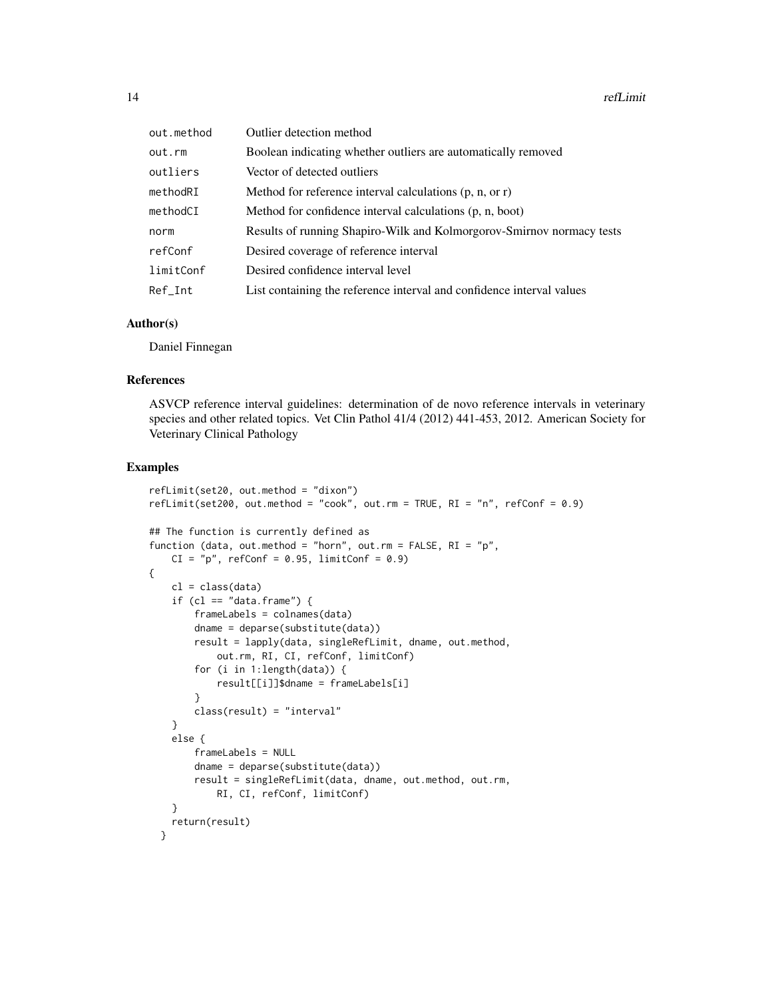| out.method | Outlier detection method                                              |
|------------|-----------------------------------------------------------------------|
| out.rm     | Boolean indicating whether outliers are automatically removed         |
| outliers   | Vector of detected outliers                                           |
| methodRI   | Method for reference interval calculations $(p, n, or r)$             |
| methodCI   | Method for confidence interval calculations (p, n, boot)              |
| norm       | Results of running Shapiro-Wilk and Kolmorgorov-Smirnov normacy tests |
| refConf    | Desired coverage of reference interval                                |
| limitConf  | Desired confidence interval level                                     |
| Ref_Int    | List containing the reference interval and confidence interval values |

#### Author(s)

Daniel Finnegan

# References

ASVCP reference interval guidelines: determination of de novo reference intervals in veterinary species and other related topics. Vet Clin Pathol 41/4 (2012) 441-453, 2012. American Society for Veterinary Clinical Pathology

```
refLimit(set20, out.method = "dixon")
refLimit(set200, out.method = "cook", out.m = TRUE, RI = "n", refConf = 0.9)## The function is currently defined as
function (data, out.method = "horn", out.rm = FALSE, RI = "p",
   CI = "p", refConf = 0.95, limitConf = 0.9){
   cl = class(data)if (cl == "data.frame") {
       frameLabels = colnames(data)
       dname = deparse(substitute(data))
       result = lapply(data, singleRefLimit, dname, out.method,
           out.rm, RI, CI, refConf, limitConf)
       for (i in 1:length(data)) {
           result[[i]]$dname = frameLabels[i]
        }
       class(result) = "interval"
    }
    else {
       frameLabels = NULL
       dname = deparse(substitute(data))
       result = singleRefLimit(data, dname, out.method, out.rm,
           RI, CI, refConf, limitConf)
   }
   return(result)
 }
```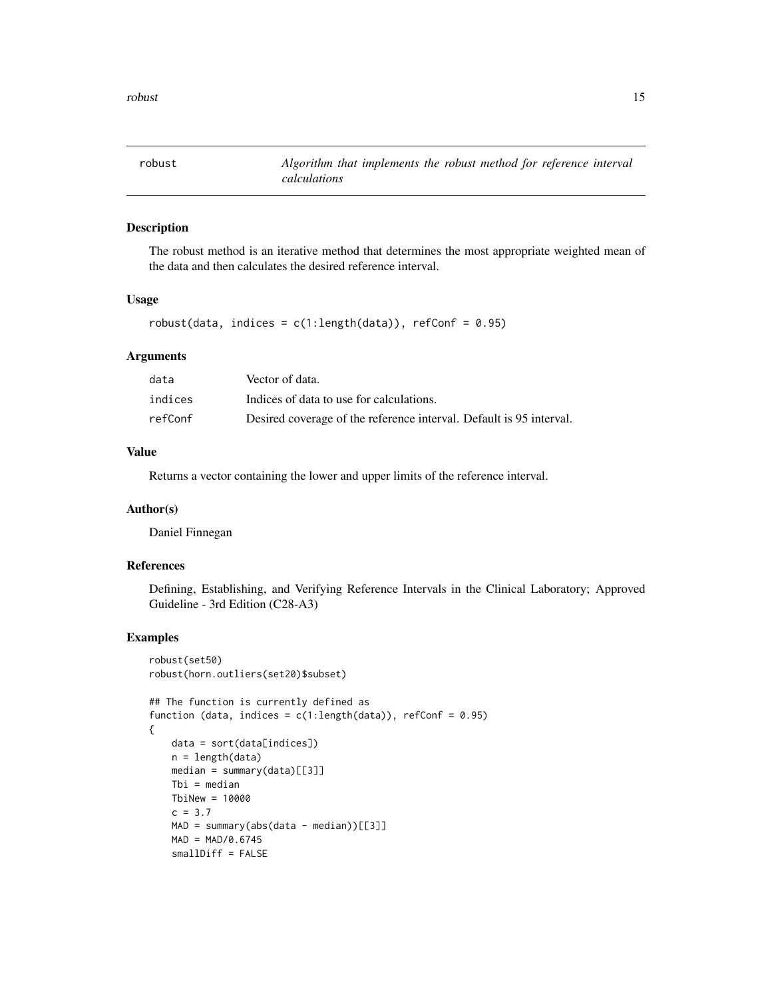<span id="page-14-0"></span>

# Description

The robust method is an iterative method that determines the most appropriate weighted mean of the data and then calculates the desired reference interval.

#### Usage

```
robust(data, indices = c(1:length(data)), refConf = 0.95)
```
#### Arguments

| data    | Vector of data.                                                     |
|---------|---------------------------------------------------------------------|
| indices | Indices of data to use for calculations.                            |
| refConf | Desired coverage of the reference interval. Default is 95 interval. |

#### Value

Returns a vector containing the lower and upper limits of the reference interval.

#### Author(s)

Daniel Finnegan

#### References

Defining, Establishing, and Verifying Reference Intervals in the Clinical Laboratory; Approved Guideline - 3rd Edition (C28-A3)

```
robust(set50)
robust(horn.outliers(set20)$subset)
## The function is currently defined as
function (data, indices = c(1:length(data)), refConf = 0.95)
{
   data = sort(data[indices])
   n = length(data)
   median = summary(data)[[3]]
   Tbi = median
   TbiNew = 10000
   c = 3.7MAD = summary(abs(data - median))[[3]]MAD = MAD/0.6745smallDiff = FALSE
```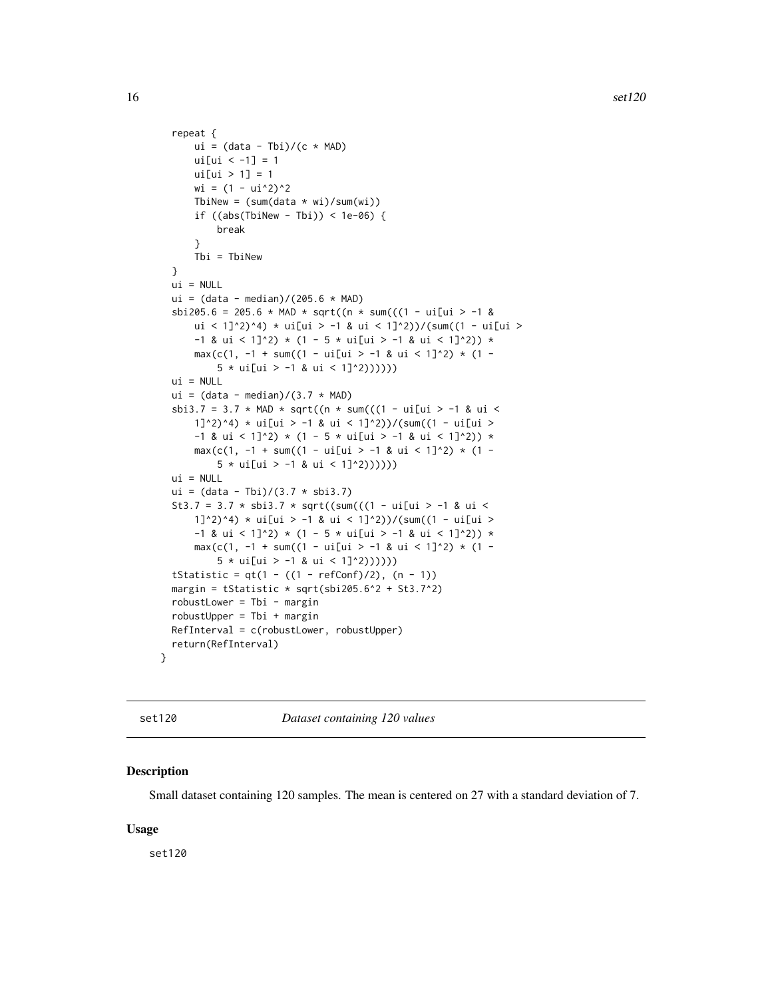```
repeat {
     ui = (data - Tbi)/(c * MAD)ui[ui < -1] = 1ui[ui > 1] = 1wi = (1 - ui^2)^2TbiNew = (sum(data * wi)/sum(wi))if ((abs(ThiNew - Tbi)) < 1e-06)break
      }
      Tbi = TbiNew
  }
 ui = NULLui = (data - median) / (205.6 * MAD)sbi205.6 = 205.6 * MAD * sqrt((n * sum(((1 - ui[ui > -1 &
      ui < 1]^2)^4) * ui[ui > -1 & ui < 1]^2))/(sum((1 - ui[ui >
      -1 & ui < 1]^2) * (1 - 5 * ui[ui > -1 & ui < 1]^2)) *
      max(c(1, -1 + sum((1 - ui[ii > -1 & ui < 1]^2)) * (1 -5 * ui[ui > -1 & ui < 1]^2))))))
  ui = NULLui = (data - median)/(3.7 * MAD)sbi3.7 = 3.7 * MAD * sqrt((n * sum(((1 - ui[ui > -1 & ui <
     1]^2)^4) * ui[ui > -1 & ui < 1]^2))/(sum((1 - ui[ui >
      -1 & ui < 1]^2) * (1 - 5 * ui[ui > -1 & ui < 1]^2)) *
      max(c(1, -1 + sum((1 - ui[ui > -1 & ui < 1]^2)) * (1 -5 * ui[ui > -1 & ui < 1]^2))))))
  ui = NULL
  ui = (data - Tibi)/(3.7 * shi3.7)St3.7 = 3.7 * sbi3.7 * sqrt((sum(((1 - ui[ui > -1 & ui <
     1]^2)^4) * ui[ui > -1 & ui < 1]^2))/(sum((1 - ui[ui >
      -1 & ui < 1]^2) * (1 - 5 * ui[ui > -1 & ui < 1]^2)) *
      max(c(1, -1 + sum((1 - ui[ui > -1 & ui < 1]^2)) * (1 -5 * <i>ui</i>[<i>ui</i> > -1 & <i>ui</i> < (1]^{2})())))tStatistic = qt(1 - ((1 - refConf)/2), (n - 1))margin = tStatistic * sqrt(sbi205.6^2 + St3.7^2)
  robustLower = Tbi - marginrobustUpper = Tbi + marginRefInterval = c(robustLower, robustUpper)
  return(RefInterval)
}
```
set120 *Dataset containing 120 values*

#### Description

Small dataset containing 120 samples. The mean is centered on 27 with a standard deviation of 7.

#### Usage

set120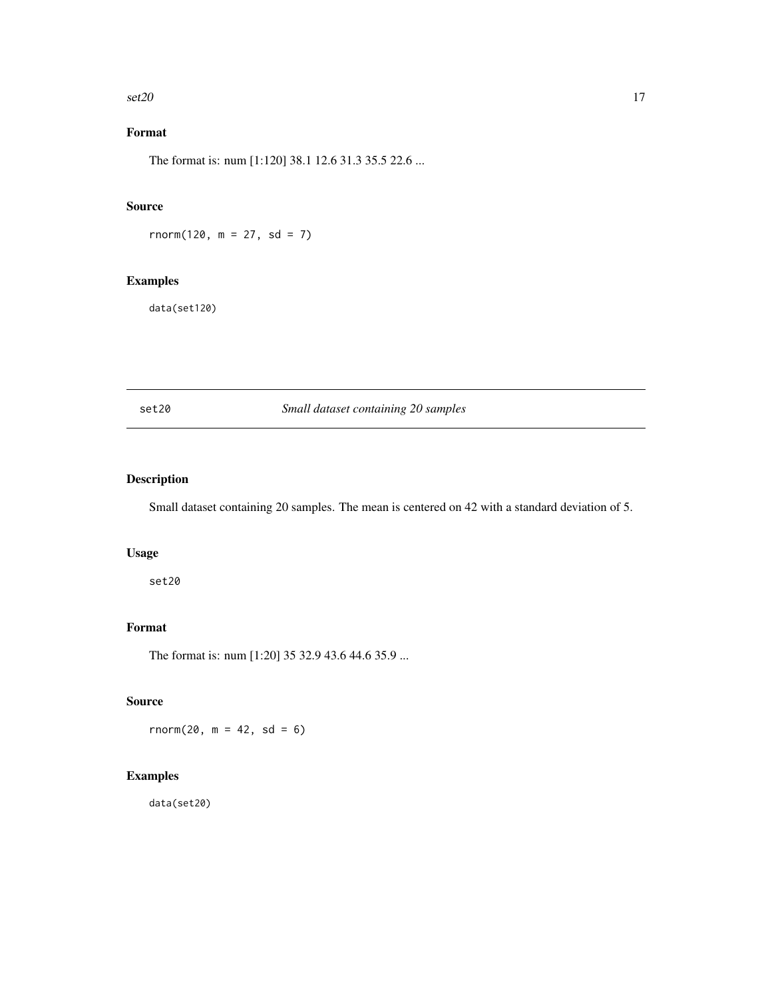<span id="page-16-0"></span> $\text{set20}$  17

# Format

The format is: num [1:120] 38.1 12.6 31.3 35.5 22.6 ...

# Source

 $rnorm(120, m = 27, sd = 7)$ 

# Examples

data(set120)

set20 *Small dataset containing 20 samples*

# Description

Small dataset containing 20 samples. The mean is centered on 42 with a standard deviation of 5.

# Usage

set20

# Format

The format is: num [1:20] 35 32.9 43.6 44.6 35.9 ...

# Source

 $rnorm(20, m = 42, sd = 6)$ 

# Examples

data(set20)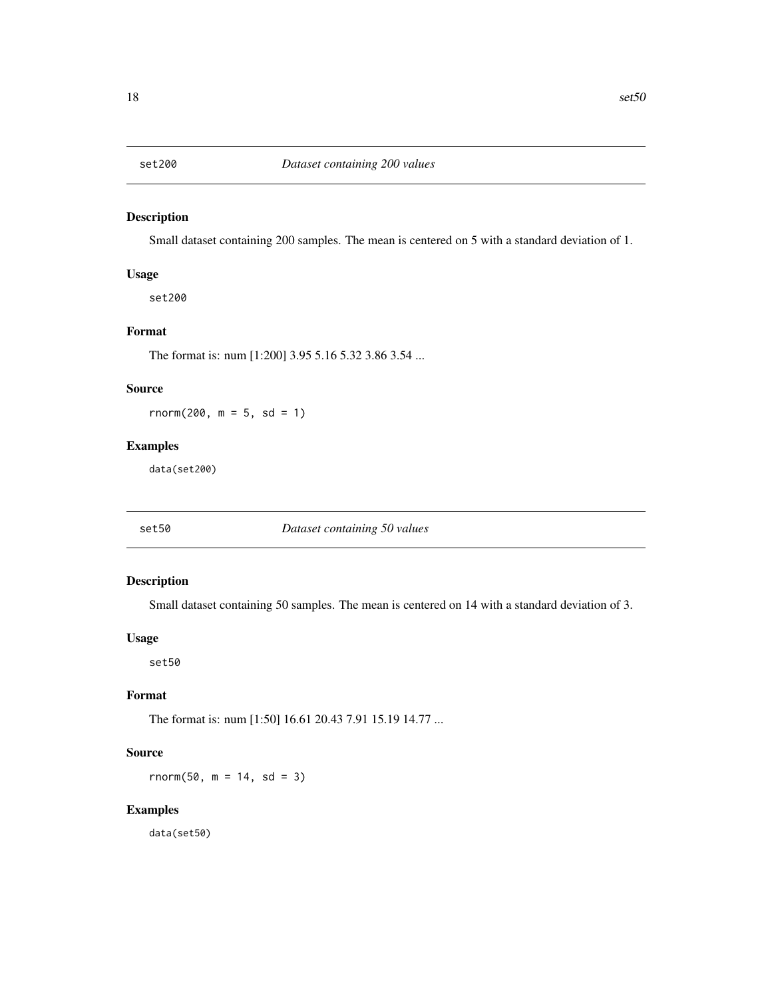<span id="page-17-0"></span>

# Description

Small dataset containing 200 samples. The mean is centered on 5 with a standard deviation of 1.

# Usage

set200

# Format

The format is: num [1:200] 3.95 5.16 5.32 3.86 3.54 ...

# Source

 $rnorm(200, m = 5, sd = 1)$ 

#### Examples

data(set200)

set50 *Dataset containing 50 values*

# Description

Small dataset containing 50 samples. The mean is centered on 14 with a standard deviation of 3.

# Usage

set50

# Format

The format is: num [1:50] 16.61 20.43 7.91 15.19 14.77 ...

# Source

 $rnorm(50, m = 14, sd = 3)$ 

# Examples

data(set50)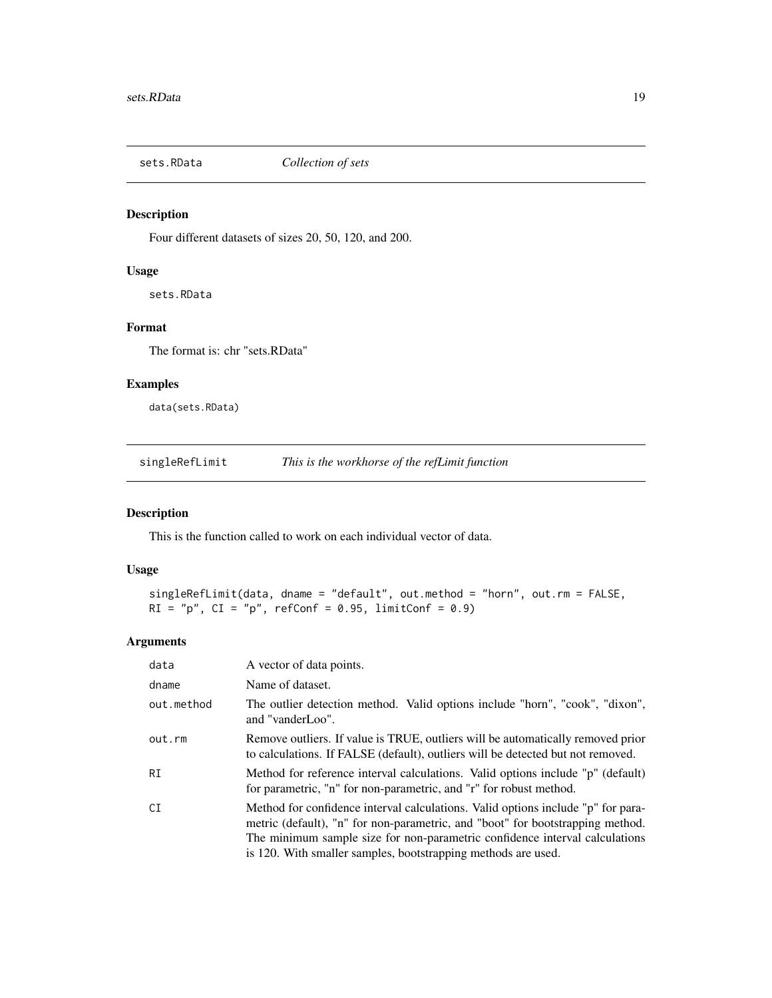<span id="page-18-0"></span>

# Description

Four different datasets of sizes 20, 50, 120, and 200.

#### Usage

sets.RData

# Format

The format is: chr "sets.RData"

#### Examples

data(sets.RData)

singleRefLimit *This is the workhorse of the refLimit function*

# Description

This is the function called to work on each individual vector of data.

#### Usage

```
singleRefLimit(data, dname = "default", out.method = "horn", out.rm = FALSE,
RI = "p", CI = "p", refConf = 0.95, limitConf = 0.9)
```
#### Arguments

| data       | A vector of data points.                                                                                                                                                                                                                                                                                           |
|------------|--------------------------------------------------------------------------------------------------------------------------------------------------------------------------------------------------------------------------------------------------------------------------------------------------------------------|
| dname      | Name of dataset.                                                                                                                                                                                                                                                                                                   |
| out.method | The outlier detection method. Valid options include "horn", "cook", "dixon",<br>and "vanderLoo".                                                                                                                                                                                                                   |
| out.rm     | Remove outliers. If value is TRUE, outliers will be automatically removed prior<br>to calculations. If FALSE (default), outliers will be detected but not removed.                                                                                                                                                 |
| RI         | Method for reference interval calculations. Valid options include "p" (default)<br>for parametric, "n" for non-parametric, and "r" for robust method.                                                                                                                                                              |
| CI         | Method for confidence interval calculations. Valid options include "p" for para-<br>metric (default), "n" for non-parametric, and "boot" for bootstrapping method.<br>The minimum sample size for non-parametric confidence interval calculations<br>is 120. With smaller samples, bootstrapping methods are used. |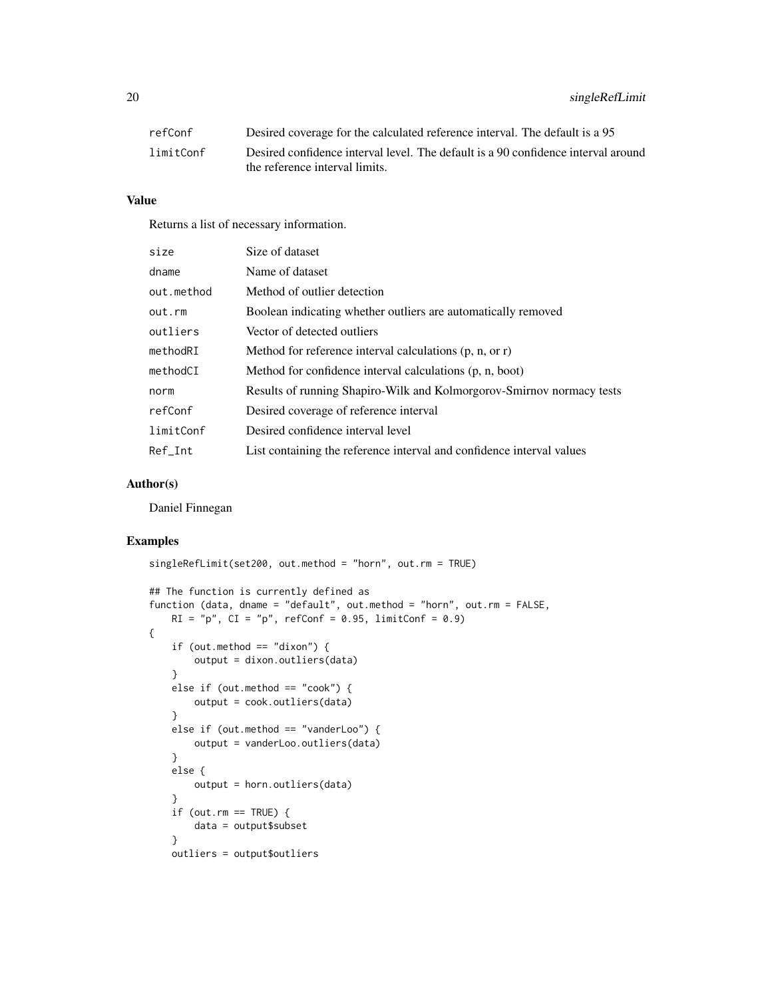| refConf   | Desired coverage for the calculated reference interval. The default is a 95       |
|-----------|-----------------------------------------------------------------------------------|
| limitConf | Desired confidence interval level. The default is a 90 confidence interval around |
|           | the reference interval limits.                                                    |

# Value

Returns a list of necessary information.

| size       | Size of dataset                                                       |
|------------|-----------------------------------------------------------------------|
| dname      | Name of dataset                                                       |
| out.method | Method of outlier detection                                           |
| out.rm     | Boolean indicating whether outliers are automatically removed         |
| outliers   | Vector of detected outliers                                           |
| methodRI   | Method for reference interval calculations $(p, n, or r)$             |
| methodCI   | Method for confidence interval calculations (p, n, boot)              |
| norm       | Results of running Shapiro-Wilk and Kolmorgorov-Smirnov normacy tests |
| refConf    | Desired coverage of reference interval                                |
| limitConf  | Desired confidence interval level                                     |
| Ref Int    | List containing the reference interval and confidence interval values |

# Author(s)

Daniel Finnegan

```
singleRefLimit(set200, out.method = "horn", out.rm = TRUE)
## The function is currently defined as
function (data, dname = "default", out.method = "horn", out.rm = FALSE,
   RI = "p", CI = "p", refConf = 0.95, limitConf = 0.9){
   if (out.method == "divon") {
       output = dixon.outliers(data)
    }
   else if (out.method == "cook") {
       output = cook.outliers(data)
    }
   else if (out.method == "vanderLoo") {
       output = vanderLoo.outliers(data)
    }
   else {
       output = horn.outliers(data)
    }
    if (out.rm == TRUE) {
       data = output$subset
    }
    outliers = output$outliers
```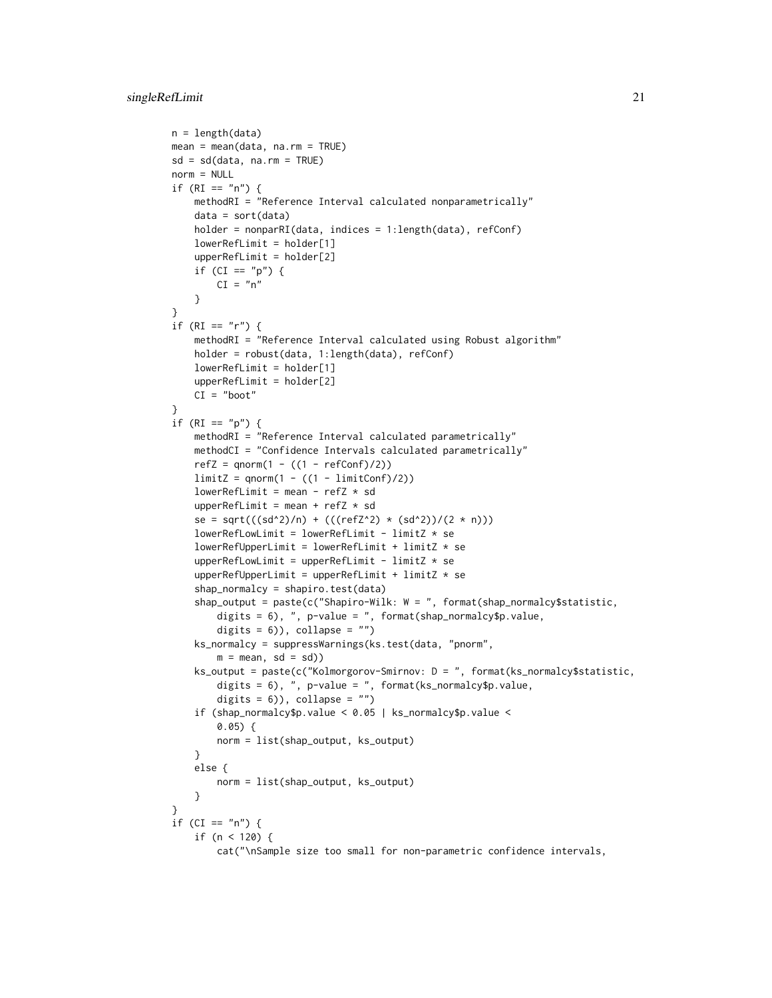```
n = length(data)
mean = mean(data, na.rm = TRUE)sd = sd(data, na.rm = TRUE)
norm = NULL
if (RI == "n") {
   methodRI = "Reference Interval calculated nonparametrically"
    data = sort(data)holder = nonparRI(data, indices = 1:length(data), refConf)
    lowerRefLimit = holder[1]upperRefLimit = holder[2]
    if (CI == "p") {
        CI = "n"}
}
if (RI == "r") {
    methodRI = "Reference Interval calculated using Robust algorithm"
    holder = robust(data, 1:length(data), refConf)
    lowerRefLimit = holder[1]
    upperRefLimit = holder[2]
   CI = "boot"
}
if (RI == "p") {
   methodRI = "Reference Interval calculated parametrically"
    methodCI = "Confidence Intervals calculated parametrically"
    refZ = qnorm(1 - ((1 - refConf)/2))limitZ = qnorm(1 - ((1 - limitConf)/2))lowerRefLimit = mean - refZ * sd
    upperRefLimit = mean + refZ * sd
    se = sqrt(((sd^2)/n) + (((refZ^2) * (sd^2))/(2 * n)))
    lowerRefLowLimit = lowerRefLimit - limitZ * selowerRefUpperLimit = lowerRefLimit + limitZ * se
    upperRefLowLimit = upperRefLimit - limitZ * se
    upperRefUpperLimit = upperRefLimit + limitZ * se
    shap_normalcy = shapiro.test(data)
    shap_output = paste(c("Shapiro-Wilk: W = ", format(shap_normalcy$statistic,
        digits = 6), ", p-value = ", format(shap_normalcy$p.value,
        digits = 6)), collapse = "")
    ks_normalcy = suppressWarnings(ks.test(data, "pnorm",
        m = mean, sd = sd))
    ks_output = paste(c("Kolmorgorov-Smirnov: D = ", format(ks_normalcy$statistic,
        digits = 6), ", p-value = ", format(ks_normalcy$p.value,
        digits = 6)), collapse = "")
    if (shap_normalcy$p.value < 0.05 | ks_normalcy$p.value <
       0.05) {
        norm = list(shap_output, ks_output)
    }
    else {
        norm = list(shap_output, ks_output)
    }
\lambdaif (CI == "n") {
    if (n < 120) {
        cat("\nSample size too small for non-parametric confidence intervals,
```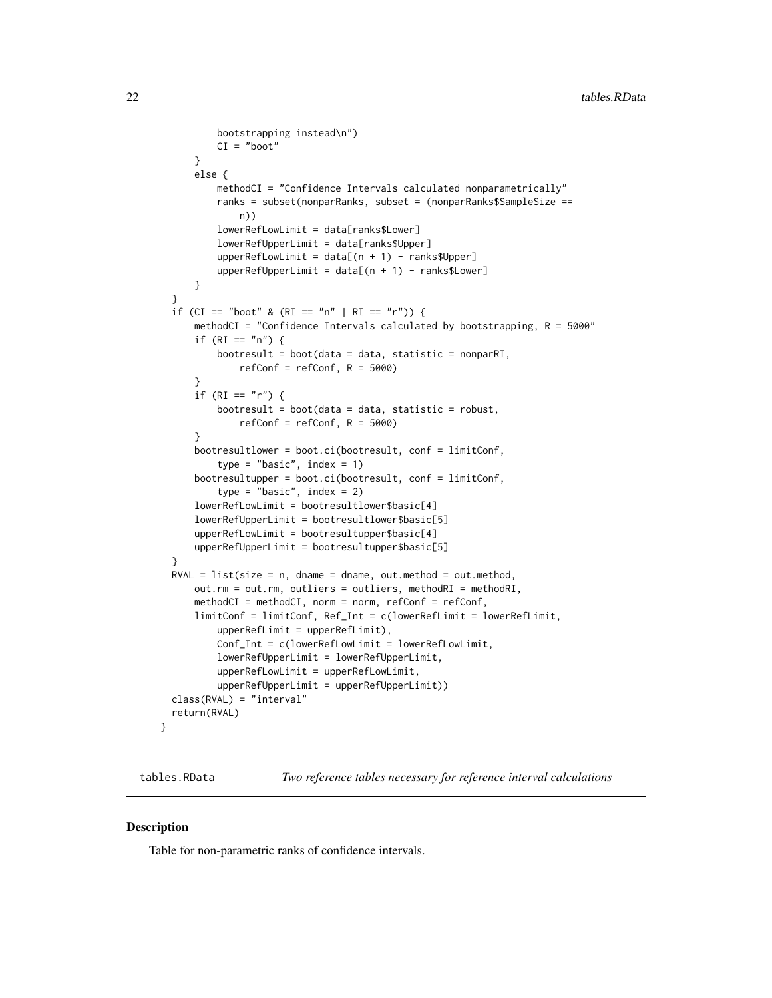```
bootstrapping instead\n")
          CI = "boot"}
      else {
          methodCI = "Confidence Intervals calculated nonparametrically"
          ranks = subset(nonparRanks, subset = (nonparRanks$SampleSize ==
              n))
          lowerRefLowLimit = data[ranks$Lower]
          lowerRefUpperLimit = data[ranks$Upper]
          upperRefLowLimit = data[(n + 1) - ranks$Upper]upperRefUpperLimit = data[(n + 1) - ranks$Lower]}
  }
  if (CI == "boot" & (RI == "n" | RI == "r")) {
      methodCI = "Confidence Intervals calculated by bootstrapping, R = 5000"
      if (RI == "n") {
          bootresult = boot(data = data, statistic = nonparRI,
              refConf = refConf, R = 5000)}
      if (RI == "r") {
          bootresult = boot(data = data, statistic = robust,
              refConf = refConf, R = 5000)}
      bootresultlower = boot.ci(bootresult, conf = limitConf,
          type = "basic", index = 1)
      bootresultupper = boot.ci(bootresult, conf = limitConf,
          type = "basic", index = 2)
      lowerRefLowLimit = bootresultlower$basic[4]
      lowerRefUpperLimit = bootresultlower$basic[5]
      upperRefLowLimit = bootresultupper$basic[4]
      upperRefUpperLimit = bootresultupper$basic[5]
  }
  RVAL = list(size = n, dname = dname, out.method = out.method,
      out.rm = out.rm, outliers = outliers, methodRI = methodRI,
      methodCI = methodCI, norm = norm, refConf = refConf,
      limitConf = limitConf, Ref_Int = c(lowerRefLimit = lowerRefLimit,
          upperRefLimit = upperRefLimit),
          Conf_Int = c(lowerRefLowLimit = lowerRefLowLimit,
          lowerRefUpperLimit = lowerRefUpperLimit,
          upperRefLowLimit = upperRefLowLimit,
          upperRefUpperLimit = upperRefUpperLimit))
  class(RVAL) = "interval"
  return(RVAL)
}
```
tables.RData *Two reference tables necessary for reference interval calculations*

#### Description

Table for non-parametric ranks of confidence intervals.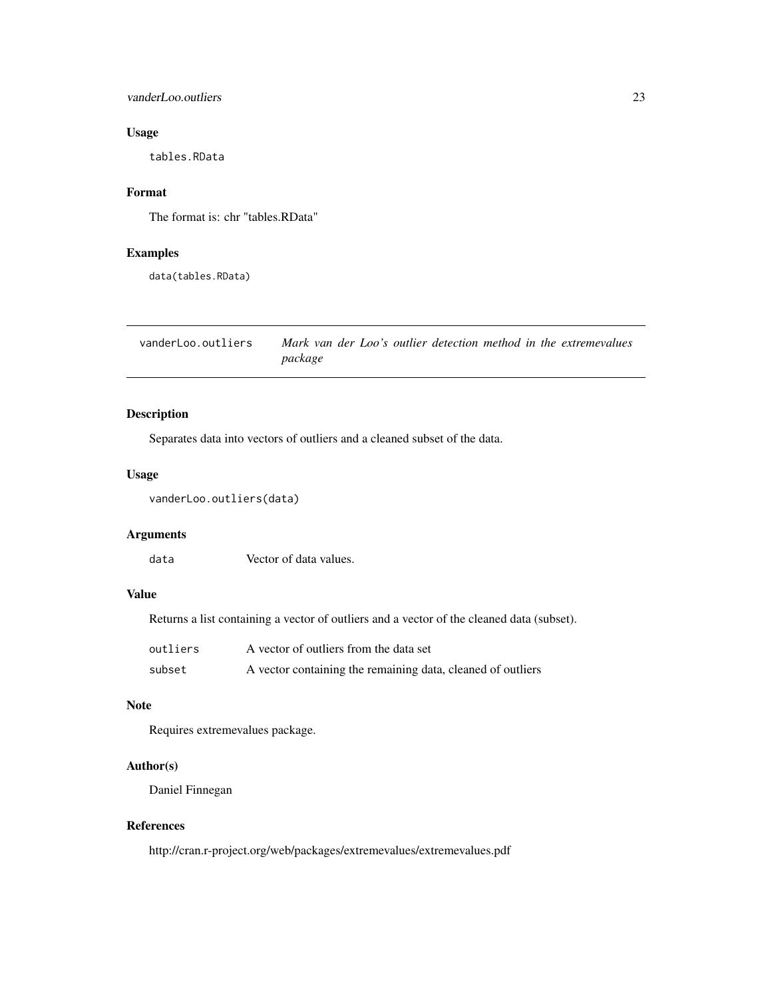#### <span id="page-22-0"></span>vanderLoo.outliers 23

# Usage

tables.RData

#### Format

The format is: chr "tables.RData"

# Examples

data(tables.RData)

vanderLoo.outliers *Mark van der Loo's outlier detection method in the extremevalues package*

# Description

Separates data into vectors of outliers and a cleaned subset of the data.

# Usage

vanderLoo.outliers(data)

# Arguments

data Vector of data values.

# Value

Returns a list containing a vector of outliers and a vector of the cleaned data (subset).

| outliers | A vector of outliers from the data set                      |
|----------|-------------------------------------------------------------|
| subset   | A vector containing the remaining data, cleaned of outliers |

#### Note

Requires extremevalues package.

# Author(s)

Daniel Finnegan

#### References

http://cran.r-project.org/web/packages/extremevalues/extremevalues.pdf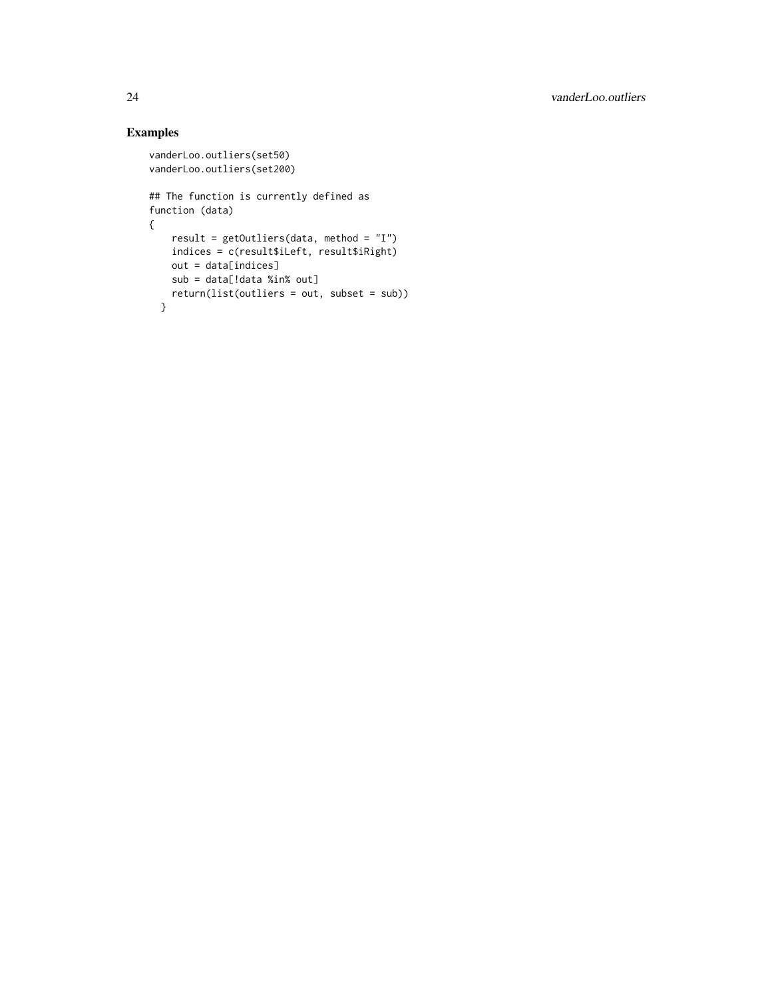```
vanderLoo.outliers(set50)
vanderLoo.outliers(set200)
## The function is currently defined as
function (data)
{
   result = getOutliers(data, method = "I")
   indices = c(result$iLeft, result$iRight)
   out = data[indices]
   sub = data[!data %in% out]
   return(list(outliers = out, subset = sub))
  }
```